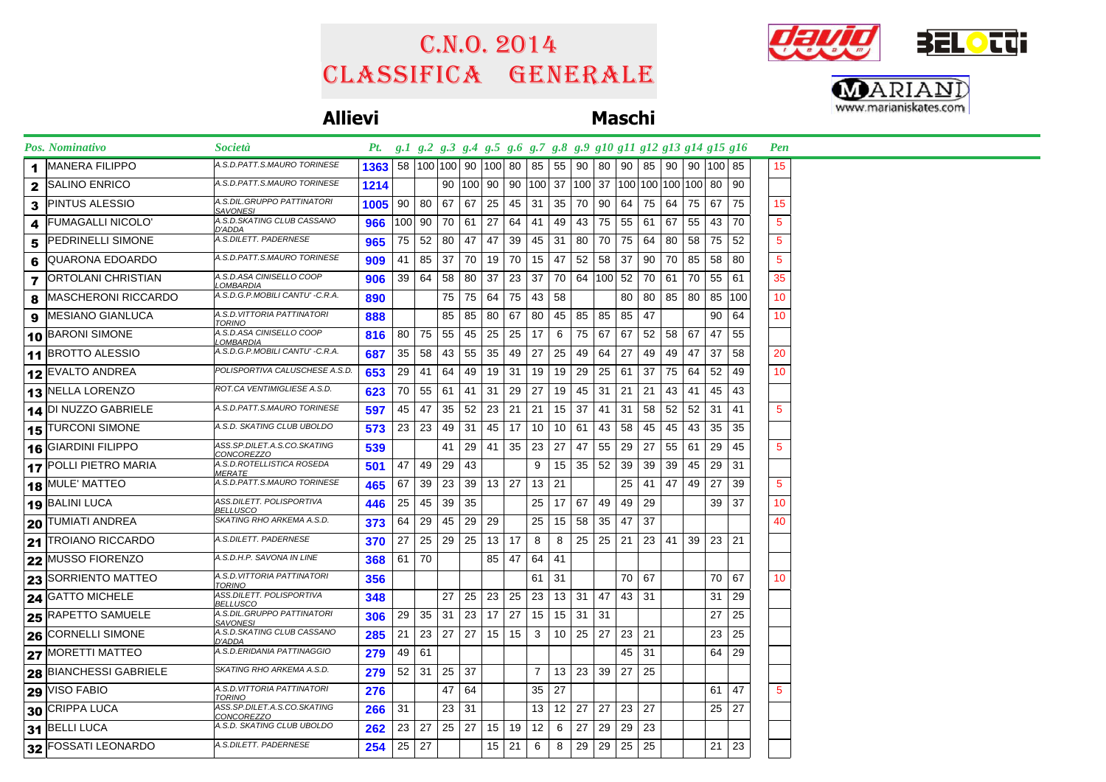## Classifica generale C.n.o. 2014





### **Allievi Maschi**

|              | Pos. Nominativo               | Società                                          | Pt. g.1 g.2 g.3 g.4 g.5 g.6 g.7 g.8 g.9 g10 g11 g12 g13 g14 g15 g16 |                 |                                     |      |                 |              |              |                |                 |              |     |      |                                                       |    |              |         |     | <b>Pen</b>      |  |
|--------------|-------------------------------|--------------------------------------------------|---------------------------------------------------------------------|-----------------|-------------------------------------|------|-----------------|--------------|--------------|----------------|-----------------|--------------|-----|------|-------------------------------------------------------|----|--------------|---------|-----|-----------------|--|
| 1            | <b>MANERA FILIPPO</b>         | A.S.D.PATT.S.MAURO TORINESE                      | 1363                                                                |                 | 58   100   100   90   100   80   85 |      |                 |              |              |                |                 | 55 90        | -80 | 90   | 85                                                    |    | 90 90 100 85 |         |     | 15              |  |
| $\mathbf{2}$ | <b>SALINO ENRICO</b>          | A.S.D.PATT.S.MAURO TORINESE                      | 1214                                                                |                 |                                     |      | 90   100   90   |              |              |                |                 |              |     |      | 90   100   37   100   37   100   100   100   100   80 |    |              |         | 90  |                 |  |
| 3            | <b>PINTUS ALESSIO</b>         | A.S.DIL.GRUPPO PATTINATORI<br>SAVONESI           | 1005                                                                |                 | 90 80 67                            |      | 67              | 25           | 45           | 31             | 35              | 70           | 90  | 64 I | 75                                                    | 64 | 75 67        |         | 75  | 15              |  |
| 4            | <b>FUMAGALLI NICOLO'</b>      | A.S.D.SKATING CLUB CASSANO<br>D'ADDA             | 966                                                                 |                 | 100 90                              | 70   | 61              | 27           | 64           | 41             | 49              | 43           | 75  |      | 55 61                                                 | 67 | 55           | 43      | -70 | $5\phantom{.0}$ |  |
| 5            | PEDRINELLI SIMONE             | A.S.DILETT. PADERNESE                            | 965                                                                 | 75              | 52                                  | 80   | 47              | 47           | 39           | 45             | 31              | 80           | 70  | 75   | 64                                                    | 80 |              | 58 75   | 52  | 5               |  |
| 6            | QUARONA EDOARDO               | A.S.D.PATT.S.MAURO TORINESE                      | 909                                                                 | 41              | 85 37                               |      |                 | 70 19        | 70           | 15             | 47              | 52           | 58  | 37   | 90                                                    |    | 70 85 58     |         | 80  | $\sqrt{5}$      |  |
| 7            | <b>ORTOLANI CHRISTIAN</b>     | A.S.D.ASA CINISELLO COOP<br>LOMBARDIA            | 906                                                                 |                 | 39   64                             | 58   | 80              | -37          | 23           | 37             |                 | 70 64        |     |      | 100 52 70                                             | 61 |              | 70 55   | -61 | 35              |  |
| 8            | <b>MASCHERONI RICCARDO</b>    | A.S.D.G.P.MOBILI CANTU' -C.R.A.                  | 890                                                                 |                 |                                     | 75   |                 | 75 64        | 75           | 43             | 58              |              |     | 80   | 80                                                    |    | 85 80 85 100 |         |     | 10              |  |
| 9            | <b>MESIANO GIANLUCA</b>       | A.S.D.VITTORIA PATTINATORI<br><b>TORINO</b>      | 888                                                                 |                 |                                     | 85   | 85              | -80          | 67           | 80             |                 | 45 85        | 85  | 85   | 47                                                    |    |              | 90      | 64  | 10              |  |
|              | 10 BARONI SIMONE              | A.S.D.ASA CINISELLO COOP<br><b>OMBARDIA</b>      | 816                                                                 |                 | 80 75                               | 55   |                 | 45 25        | 25           | 17             | 6               | 75           | 67  | 67   | 52                                                    |    | 58 67 47     |         | 55  |                 |  |
|              | 11 BROTTO ALESSIO             | A.S.D.G.P.MOBILI CANTU' -C.R.A.                  | 687                                                                 | 35 <sup>2</sup> | 58                                  | 43   | 55              | 35           | 49           | 27             | 25              | 49           | 64  | 27   | 49                                                    | 49 | 47           | 37      | 58  | 20              |  |
|              | 12 EVALTO ANDREA              | POLISPORTIVA CALUSCHESE A.S.D.                   | 653                                                                 | 29              | -41                                 | 64   | 49              | 19           | 31           | 19             | 19              | 29           | 25  | 61   | 37                                                    | 75 | 64           | 52      | 49  | 10              |  |
|              | 13 NELLA LORENZO              | ROT.CA VENTIMIGLIESE A.S.D.                      | 623                                                                 |                 | 70 55 61                            |      |                 | 41 31        | 29           | 27             | 19              | 45           | 31  |      | $21 \mid 21$                                          | 43 |              | 41   45 | 43  |                 |  |
|              | 14 DI NUZZO GABRIELE          | A.S.D.PATT.S.MAURO TORINESE                      | 597                                                                 |                 | 45   47                             | 35   |                 | $52 \mid 23$ | 21           | 21             |                 | $15 \mid 37$ | 41  |      | $31 \mid 58$                                          |    | $52$ 52 31   |         | 41  | $5\phantom{.0}$ |  |
|              | 15 TURCONI SIMONE             | A.S.D. SKATING CLUB UBOLDO                       | 573                                                                 | 23              | 23                                  | 49   | 31              | 45           | 17           | 10             |                 | 10   61      | 43  | 58   | 45                                                    | 45 | 43           | 35      | 35  |                 |  |
|              | 16 GIARDINI FILIPPO           | ASS.SP.DILET.A.S.CO.SKATING<br><i>CONCOREZZO</i> | 539                                                                 |                 |                                     | 41   |                 | $29 \mid 41$ |              | $35 \mid 23$   | 27              | 47           | 55  | 29 I | 27                                                    | 55 | 61 29        |         | 45  | $5\phantom{.0}$ |  |
|              | 17 POLLI PIETRO MARIA         | A.S.D.ROTELLISTICA ROSEDA<br><i>MERATE</i>       | 501                                                                 | 47              | 49                                  | 29   | 43              |              |              | 9              |                 | 15 35        | 52  | 39   | 39                                                    | 39 |              | 45 29   | -31 |                 |  |
|              | 18 MULE' MATTEO               | A.S.D.PATT.S.MAURO TORINESE                      | 465                                                                 | 67              | 39 <sup>°</sup>                     | 23   | 39 <sup>°</sup> |              | $13 \mid 27$ | 13             | 21              |              |     | 25   | 41                                                    | 47 |              | 49 27   | 39  | 5               |  |
|              | 19 BALINI LUCA                | ASS.DILETT. POLISPORTIVA<br>BELLUSCO             | 446                                                                 | 25              | 45                                  | 39   | 35              |              |              | 25             |                 | 17   67      | 49  | 49   | 29                                                    |    |              | 39      | 37  | 10              |  |
|              | <b>20 TUMIATI ANDREA</b>      | SKATING RHO ARKEMA A.S.D.                        | 373                                                                 | 64              | 29                                  | 45   | 29              | 29           |              | 25             | 15              | 58           | 35  | 47   | -37                                                   |    |              |         |     | 40              |  |
|              | 21 TROIANO RICCARDO           | A.S.DILETT. PADERNESE                            | 370                                                                 | 27              | 25 I                                | 29 I | 25              |              | $13 \mid 17$ | 8              | 8               | 25           | 25  | 21   | 23                                                    | 41 |              | 39 23   | -21 |                 |  |
|              | 22 MUSSO FIORENZO             | A.S.D.H.P. SAVONA IN LINE                        | 368                                                                 |                 | $61$   70                           |      |                 | 85           | 47           | 64             | 41              |              |     |      |                                                       |    |              |         |     |                 |  |
|              | 23 SORRIENTO MATTEO           | A.S.D.VITTORIA PATTINATORI<br><b>TORINO</b>      | 356                                                                 |                 |                                     |      |                 |              |              | 61             | 31              |              |     |      | 70 67                                                 |    |              | 70      | 67  | 10              |  |
| 24           | <b>GATTO MICHELE</b>          | ASS.DILETT. POLISPORTIVA<br>BELLUSCO             | 348                                                                 |                 |                                     | 27   | 25              | 23           | 25           | 23             |                 | 13 31        | 47  |      | 43 31                                                 |    |              | 31      | 29  |                 |  |
|              | <b>25 RAPETTO SAMUELE</b>     | A.S.DIL.GRUPPO PATTINATORI<br><u>SAVONESI</u>    | 306                                                                 | 29              | $35 \mid$                           | 31   | 23              | 17           | 27           | 15             |                 | $15 \mid 31$ | 31  |      |                                                       |    |              | 27      | 25  |                 |  |
|              | 26 CORNELLI SIMONE            | A.S.D.SKATING CLUB CASSANO<br>D'ADDA             | 285                                                                 | 21              | 23                                  | 27   | 27              | 15           | 15           | 3              | 10 <sup>1</sup> | 25           | 27  |      | $23 \mid 21$                                          |    |              | 23      | 25  |                 |  |
|              | 27 MORETTI MATTEO             | A.S.D.ERIDANIA PATTINAGGIO                       | 279                                                                 | 49 61           |                                     |      |                 |              |              |                |                 |              |     | 45   | -31                                                   |    |              | 64      | 29  |                 |  |
|              | <b>28 BIANCHESSI GABRIELE</b> | SKATING RHO ARKEMA A.S.D.                        | 279                                                                 | 52              | 31                                  | 25   | 37              |              |              | $\overline{7}$ | 13              | 23           | 39  | 27   | 25                                                    |    |              |         |     |                 |  |
|              | $ 29 $ VISO FABIO             | A.S.D.VITTORIA PATTINATORI<br><b>TORINO</b>      | 276                                                                 |                 |                                     | 47   | 64              |              |              | 35             | 27              |              |     |      |                                                       |    |              | 61      | 47  | 5               |  |
|              | 30 CRIPPA LUCA                | ASS.SP.DILET.A.S.CO.SKATING<br>CONCOREZZO        | 266                                                                 | 31              |                                     | 23   | 31              |              |              | 13             |                 | $12 \mid 27$ | 27  | 23   | 27                                                    |    |              | 25      | 27  |                 |  |
|              | 31 BELLI LUCA                 | A.S.D. SKATING CLUB UBOLDO                       | 262                                                                 | 23              | 27                                  | 25   | 27              | 15           | 19           | 12             | 6               | 27           | 29  | 29   | 23                                                    |    |              |         |     |                 |  |
|              | 32 FOSSATI LEONARDO           | A.S.DILETT. PADERNESE                            | 254                                                                 | $25 \mid 27$    |                                     |      |                 | 15           | 21           | 6              | 8               | 29           | 29  | 25   | 25                                                    |    |              | 21      | 23  |                 |  |